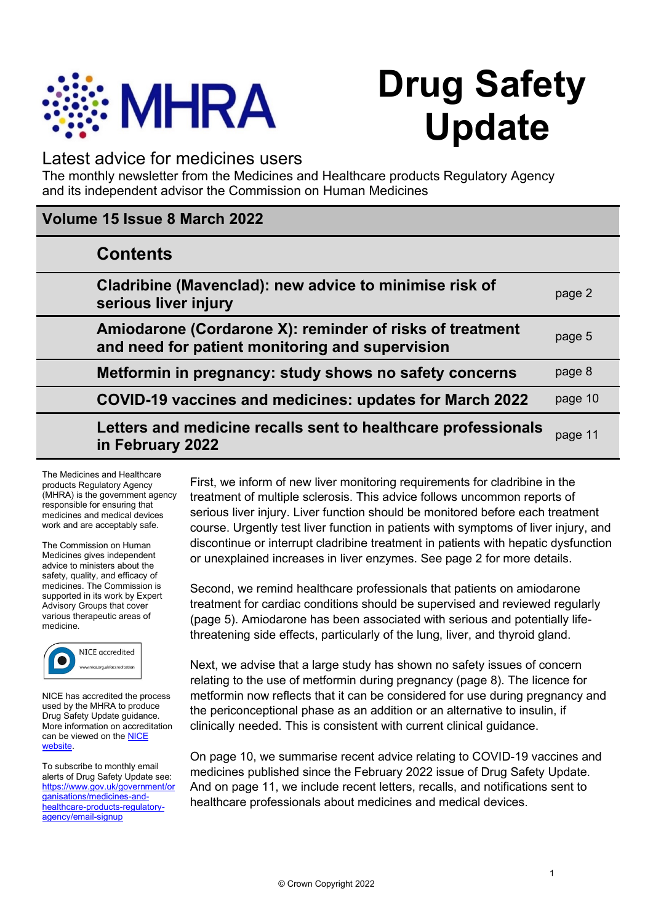

# **Drug Safety Update**

# Latest advice for medicines users

The monthly newsletter from the Medicines and Healthcare products Regulatory Agency and its independent advisor the Commission on Human Medicines

# **Volume 15 Issue 8 March 2022**

|  | <b>Contents</b>                                                                                             |         |
|--|-------------------------------------------------------------------------------------------------------------|---------|
|  | Cladribine (Mavenclad): new advice to minimise risk of<br>serious liver injury                              | page 2  |
|  | Amiodarone (Cordarone X): reminder of risks of treatment<br>and need for patient monitoring and supervision | page 5  |
|  | Metformin in pregnancy: study shows no safety concerns                                                      | page 8  |
|  | COVID-19 vaccines and medicines: updates for March 2022                                                     | page 10 |
|  | Letters and medicine recalls sent to healthcare professionals<br>in February 2022                           | page 11 |

The Medicines and Healthcare products Regulatory Agency (MHRA) is the government agency responsible for ensuring that medicines and medical devices work and are acceptably safe.

The Commission on Human Medicines gives independent advice to ministers about the safety, quality, and efficacy of medicines. The Commission is supported in its work by Expert Advisory Groups that cover various therapeutic areas of medicine.



NICE has accredited the process used by the MHRA to produce Drug Safety Update guidance. More information on accreditation can be viewed on the **NICE website** 

To subscribe to monthly email alerts of Drug Safety Update see: [https://www.gov.uk/government/or](https://www.gov.uk/government/organisations/medicines-and-healthcare-products-regulatory-agency/email-signup) [ganisations/medicines-and](https://www.gov.uk/government/organisations/medicines-and-healthcare-products-regulatory-agency/email-signup)[healthcare-products-regulatory](https://www.gov.uk/government/organisations/medicines-and-healthcare-products-regulatory-agency/email-signup)[agency/email-signup](https://www.gov.uk/government/organisations/medicines-and-healthcare-products-regulatory-agency/email-signup)

First, we inform of new liver monitoring requirements for cladribine in the treatment of multiple sclerosis. This advice follows uncommon reports of serious liver injury. Liver function should be monitored before each treatment course. Urgently test liver function in patients with symptoms of liver injury, and discontinue or interrupt cladribine treatment in patients with hepatic dysfunction or unexplained increases in liver enzymes. See page 2 for more details.

Second, we remind healthcare professionals that patients on amiodarone treatment for cardiac conditions should be supervised and reviewed regularly (page 5). Amiodarone has been associated with serious and potentially lifethreatening side effects, particularly of the lung, liver, and thyroid gland.

Next, we advise that a large study has shown no safety issues of concern relating to the use of metformin during pregnancy (page 8). The licence for metformin now reflects that it can be considered for use during pregnancy and the periconceptional phase as an addition or an alternative to insulin, if clinically needed. This is consistent with current clinical guidance.

On page 10, we summarise recent advice relating to COVID-19 vaccines and medicines published since the February 2022 issue of Drug Safety Update. And on page 11, we include recent letters, recalls, and notifications sent to healthcare professionals about medicines and medical devices.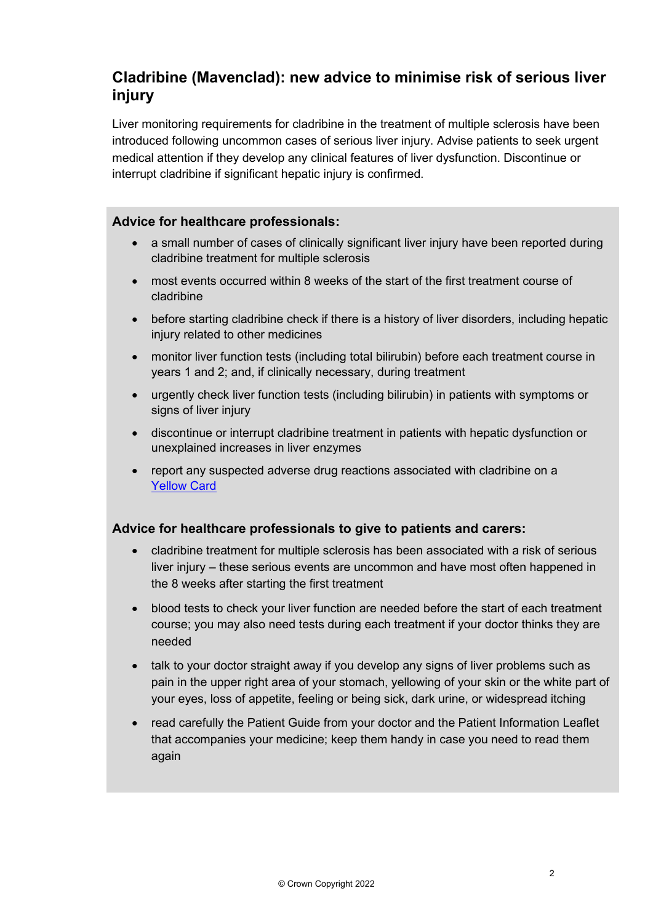# **Cladribine (Mavenclad): new advice to minimise risk of serious liver injury**

Liver monitoring requirements for cladribine in the treatment of multiple sclerosis have been introduced following uncommon cases of serious liver injury. Advise patients to seek urgent medical attention if they develop any clinical features of liver dysfunction. Discontinue or interrupt cladribine if significant hepatic injury is confirmed.

#### **Advice for healthcare professionals:**

- a small number of cases of clinically significant liver injury have been reported during cladribine treatment for multiple sclerosis
- most events occurred within 8 weeks of the start of the first treatment course of cladribine
- before starting cladribine check if there is a history of liver disorders, including hepatic injury related to other medicines
- monitor liver function tests (including total bilirubin) before each treatment course in years 1 and 2; and, if clinically necessary, during treatment
- urgently check liver function tests (including bilirubin) in patients with symptoms or signs of liver injury
- discontinue or interrupt cladribine treatment in patients with hepatic dysfunction or unexplained increases in liver enzymes
- report any suspected adverse drug reactions associated with cladribine on a [Yellow](https://yellowcard.mhra.gov.uk/) Card

#### **Advice for healthcare professionals to give to patients and carers:**

- cladribine treatment for multiple sclerosis has been associated with a risk of serious liver injury – these serious events are uncommon and have most often happened in the 8 weeks after starting the first treatment
- blood tests to check your liver function are needed before the start of each treatment course; you may also need tests during each treatment if your doctor thinks they are needed
- talk to your doctor straight away if you develop any signs of liver problems such as pain in the upper right area of your stomach, yellowing of your skin or the white part of your eyes, loss of appetite, feeling or being sick, dark urine, or widespread itching
- read carefully the Patient Guide from your doctor and the Patient Information Leaflet that accompanies your medicine; keep them handy in case you need to read them again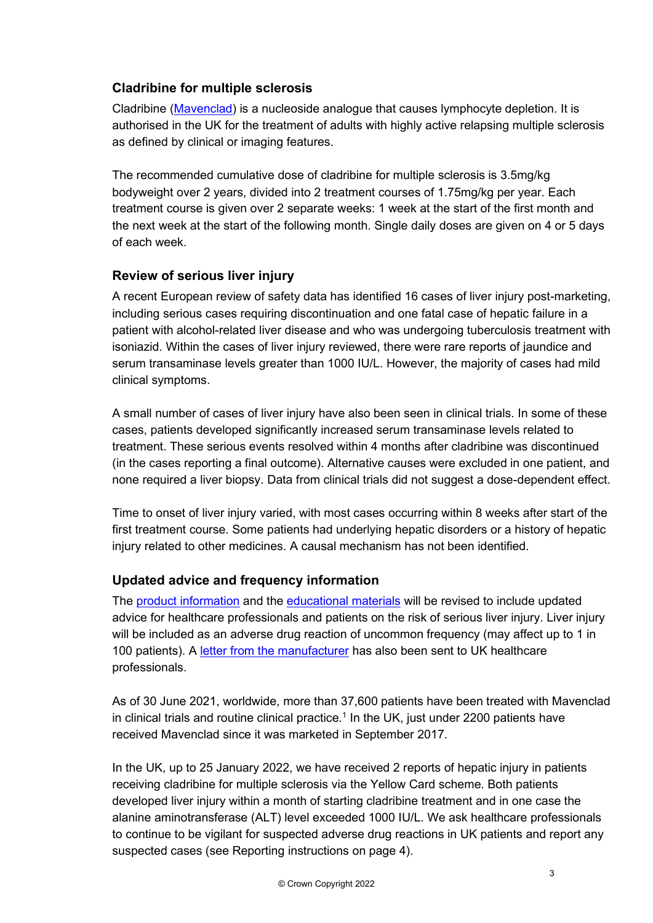# **Cladribine for multiple sclerosis**

Cladribine [\(Mavenclad\)](https://www.medicines.org.uk/emc/product/8435) is a nucleoside analogue that causes lymphocyte depletion. It is authorised in the UK for the treatment of adults with highly active relapsing multiple sclerosis as defined by clinical or imaging features.

The recommended cumulative dose of cladribine for multiple sclerosis is 3.5mg/kg bodyweight over 2 years, divided into 2 treatment courses of 1.75mg/kg per year. Each treatment course is given over 2 separate weeks: 1 week at the start of the first month and the next week at the start of the following month. Single daily doses are given on 4 or 5 days of each week.

## **Review of serious liver injury**

A recent European review of safety data has identified 16 cases of liver injury post-marketing, including serious cases requiring discontinuation and one fatal case of hepatic failure in a patient with alcohol-related liver disease and who was undergoing tuberculosis treatment with isoniazid. Within the cases of liver injury reviewed, there were rare reports of jaundice and serum transaminase levels greater than 1000 IU/L. However, the majority of cases had mild clinical symptoms.

A small number of cases of liver injury have also been seen in clinical trials. In some of these cases, patients developed significantly increased serum transaminase levels related to treatment. These serious events resolved within 4 months after cladribine was discontinued (in the cases reporting a final outcome). Alternative causes were excluded in one patient, and none required a liver biopsy. Data from clinical trials did not suggest a dose-dependent effect.

Time to onset of liver injury varied, with most cases occurring within 8 weeks after start of the first treatment course. Some patients had underlying hepatic disorders or a history of hepatic injury related to other medicines. A causal mechanism has not been identified.

# **Updated advice and frequency information**

The [product information](https://www.medicines.org.uk/emc/product/8435/smpc#gref) and the [educational materials](https://www.medicines.org.uk/emc/product/8435/rmms) will be revised to include updated advice for healthcare professionals and patients on the risk of serious liver injury. Liver injury will be included as an adverse drug reaction of uncommon frequency (may affect up to 1 in 100 patients). A [letter from the manufacturer](https://assets.publishing.service.gov.uk/media/622b4dd7d3bf7f5a89aece9e/DHPC_UK_cladribine_Mavenclad_-_14_Feb_2022.pdf) has also been sent to UK healthcare professionals.

As of 30 June 2021, worldwide, more than 37,600 patients have been treated with Mavenclad in clinical trials and routine clinical practice.<sup>1</sup> In the UK, just under 2200 patients have received Mavenclad since it was marketed in September 2017.

In the UK, up to 25 January 2022, we have received 2 reports of hepatic injury in patients receiving cladribine for multiple sclerosis via the Yellow Card scheme. Both patients developed liver injury within a month of starting cladribine treatment and in one case the alanine aminotransferase (ALT) level exceeded 1000 IU/L. We ask healthcare professionals to continue to be vigilant for suspected adverse drug reactions in UK patients and report any suspected cases (see Reporting instructions on page 4).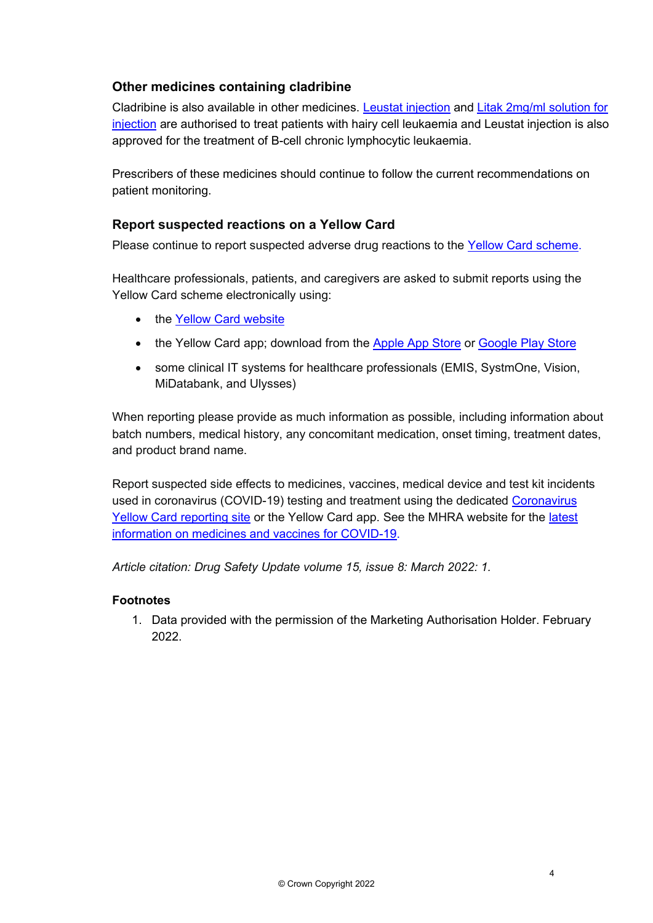# **Other medicines containing cladribine**

Cladribine is also available in other medicines. [Leustat injection](https://www.medicines.org.uk/emc/product/13187) and [Litak 2mg/ml solution for](https://www.medicines.org.uk/emc/product/6194)  [injection](https://www.medicines.org.uk/emc/product/6194) are authorised to treat patients with hairy cell leukaemia and Leustat injection is also approved for the treatment of B-cell chronic lymphocytic leukaemia.

Prescribers of these medicines should continue to follow the current recommendations on patient monitoring.

#### **Report suspected reactions on a Yellow Card**

Please continue to report suspected adverse drug reactions to the [Yellow Card scheme.](https://yellowcard.mhra.gov.uk/)

Healthcare professionals, patients, and caregivers are asked to submit reports using the Yellow Card scheme electronically using:

- the Yellow [Card website](https://yellowcard.mhra.gov.uk/)
- the Yellow Card app; download from the [Apple App Store](https://itunes.apple.com/us/app/apple-store/id990237487?pt=117756671&ct=EYC&mt=8) or [Google Play Store](https://play.google.com/store/apps/details?id=uk.org.mhra.yellowcard&referrer=utm_source%3DEYC%26utm_medium%3Dcpc%26anid%3Dadmob)
- some clinical IT systems for healthcare professionals (EMIS, SystmOne, Vision, MiDatabank, and Ulysses)

When reporting please provide as much information as possible, including information about batch numbers, medical history, any concomitant medication, onset timing, treatment dates, and product brand name.

Report suspected side effects to medicines, vaccines, medical device and test kit incidents used in coronavirus (COVID-19) testing and treatment using the dedicated [Coronavirus](https://coronavirus-yellowcard.mhra.gov.uk/)  [Yellow Card reporting site](https://coronavirus-yellowcard.mhra.gov.uk/) or the Yellow Card app. See the MHRA website for the [latest](https://www.gov.uk/government/collections/mhra-guidance-on-coronavirus-covid-19)  [information on medicines and vaccines for COVID-19.](https://www.gov.uk/government/collections/mhra-guidance-on-coronavirus-covid-19)

*Article citation: Drug Safety Update volume 15, issue 8: March 2022: 1.*

#### **Footnotes**

1. Data provided with the permission of the Marketing Authorisation Holder. February 2022.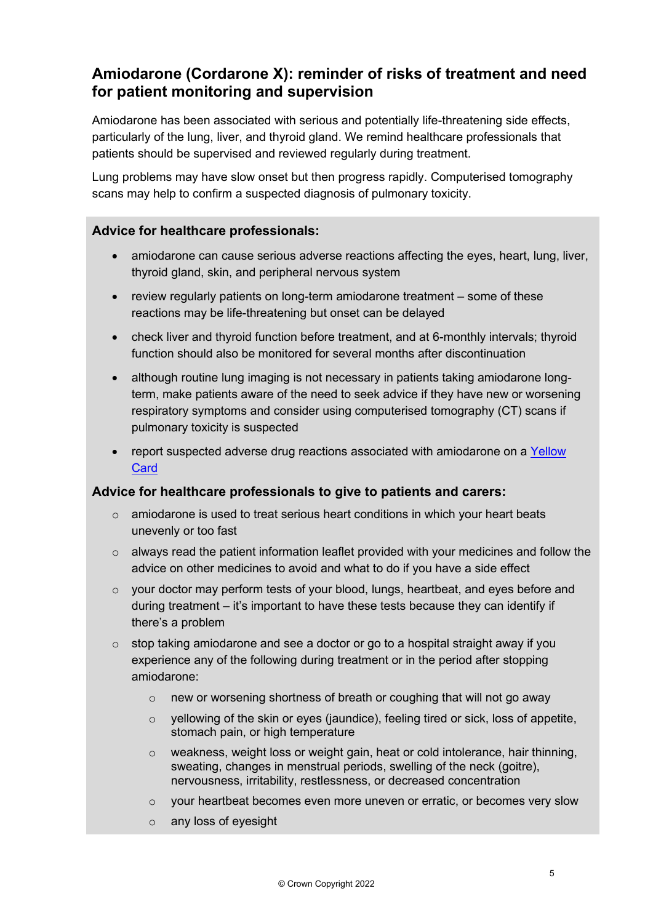# **Amiodarone (Cordarone X): reminder of risks of treatment and need for patient monitoring and supervision**

Amiodarone has been associated with serious and potentially life-threatening side effects, particularly of the lung, liver, and thyroid gland. We remind healthcare professionals that patients should be supervised and reviewed regularly during treatment.

Lung problems may have slow onset but then progress rapidly. Computerised tomography scans may help to confirm a suspected diagnosis of pulmonary toxicity.

#### **Advice for healthcare professionals:**

- amiodarone can cause serious adverse reactions affecting the eyes, heart, lung, liver, thyroid gland, skin, and peripheral nervous system
- review regularly patients on long-term amiodarone treatment some of these reactions may be life-threatening but onset can be delayed
- check liver and thyroid function before treatment, and at 6-monthly intervals; thyroid function should also be monitored for several months after discontinuation
- although routine lung imaging is not necessary in patients taking amiodarone longterm, make patients aware of the need to seek advice if they have new or worsening respiratory symptoms and consider using computerised tomography (CT) scans if pulmonary toxicity is suspected
- report suspected adverse drug reactions associated with amiodarone on a [Yellow](https://yellowcard.mhra.gov.uk/)  [Card](https://yellowcard.mhra.gov.uk/)

#### **Advice for healthcare professionals to give to patients and carers:**

- $\circ$  amiodarone is used to treat serious heart conditions in which your heart beats unevenly or too fast
- o always read the patient information leaflet provided with your medicines and follow the advice on other medicines to avoid and what to do if you have a side effect
- o your doctor may perform tests of your blood, lungs, heartbeat, and eyes before and during treatment – it's important to have these tests because they can identify if there's a problem
- $\circ$  stop taking amiodarone and see a doctor or go to a hospital straight away if you experience any of the following during treatment or in the period after stopping amiodarone:
	- $\circ$  new or worsening shortness of breath or coughing that will not go away
	- o yellowing of the skin or eyes (jaundice), feeling tired or sick, loss of appetite, stomach pain, or high temperature
	- o weakness, weight loss or weight gain, heat or cold intolerance, hair thinning, sweating, changes in menstrual periods, swelling of the neck (goitre), nervousness, irritability, restlessness, or decreased concentration
	- $\circ$  vour heartbeat becomes even more uneven or erratic, or becomes very slow
	- o any loss of eyesight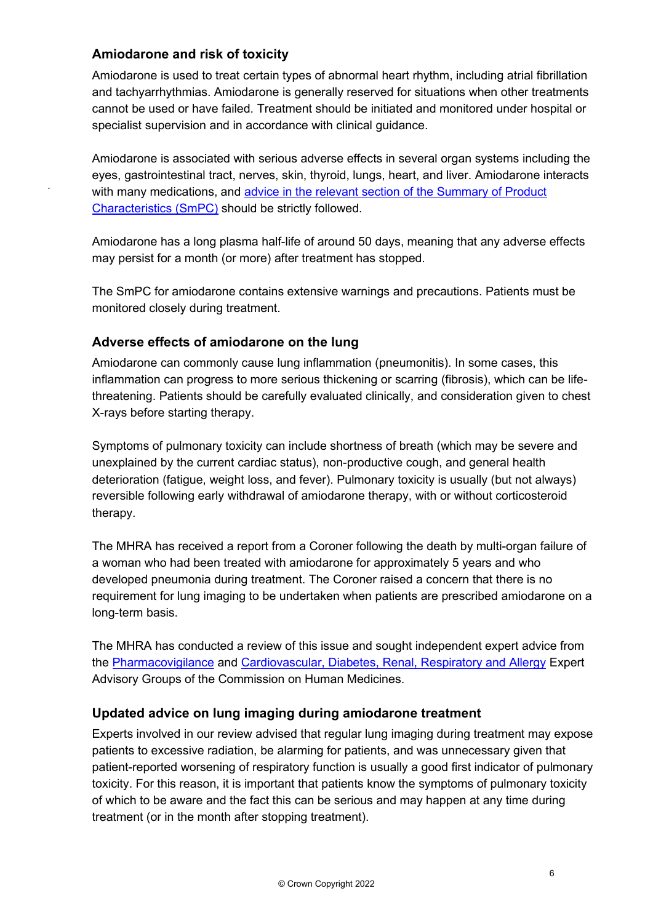#### **Amiodarone and risk of toxicity**

.

Amiodarone is used to treat certain types of abnormal heart rhythm, including atrial fibrillation and tachyarrhythmias. Amiodarone is generally reserved for situations when other treatments cannot be used or have failed. Treatment should be initiated and monitored under hospital or specialist supervision and in accordance with clinical guidance.

Amiodarone is associated with serious adverse effects in several organ systems including the eyes, gastrointestinal tract, nerves, skin, thyroid, lungs, heart, and liver. Amiodarone interacts with many medications, and [advice in the relevant section of the Summary of Product](https://mhra.sharepoint.com/teams/t14/ts1/ts5/cd/Drug%20Safety%20Update%20vol%2015/6%20January%202022/Drafts/medicines.org.uk/emc/product/6018/smpc#INTERACTIONS)  [Characteristics \(SmPC\)](https://mhra.sharepoint.com/teams/t14/ts1/ts5/cd/Drug%20Safety%20Update%20vol%2015/6%20January%202022/Drafts/medicines.org.uk/emc/product/6018/smpc#INTERACTIONS) should be strictly followed.

Amiodarone has a long plasma half-life of around 50 days, meaning that any adverse effects may persist for a month (or more) after treatment has stopped.

The SmPC for amiodarone contains extensive warnings and precautions. Patients must be monitored closely during treatment.

#### **Adverse effects of amiodarone on the lung**

Amiodarone can commonly cause lung inflammation (pneumonitis). In some cases, this inflammation can progress to more serious thickening or scarring (fibrosis), which can be lifethreatening. Patients should be carefully evaluated clinically, and consideration given to chest X-rays before starting therapy.

Symptoms of pulmonary toxicity can include shortness of breath (which may be severe and unexplained by the current cardiac status), non-productive cough, and general health deterioration (fatigue, weight loss, and fever). Pulmonary toxicity is usually (but not always) reversible following early withdrawal of amiodarone therapy, with or without corticosteroid therapy.

The MHRA has received a report from a Coroner following the death by multi-organ failure of a woman who had been treated with amiodarone for approximately 5 years and who developed pneumonia during treatment. The Coroner raised a concern that there is no requirement for lung imaging to be undertaken when patients are prescribed amiodarone on a long-term basis.

The MHRA has conducted a review of this issue and sought independent expert advice from the [Pharmacovigilance](https://www.gov.uk/government/organisations/commission-on-human-medicines/about/membership#pharmacovigilance-eag) and [Cardiovascular, Diabetes, Renal, Respiratory and Allergy](https://www.gov.uk/government/organisations/commission-on-human-medicines/about/membership#cardiovascular-diabetes-renal-respiratory-and-allergy-eag) Expert Advisory Groups of the Commission on Human Medicines.

#### **Updated advice on lung imaging during amiodarone treatment**

Experts involved in our review advised that regular lung imaging during treatment may expose patients to excessive radiation, be alarming for patients, and was unnecessary given that patient-reported worsening of respiratory function is usually a good first indicator of pulmonary toxicity. For this reason, it is important that patients know the symptoms of pulmonary toxicity of which to be aware and the fact this can be serious and may happen at any time during treatment (or in the month after stopping treatment).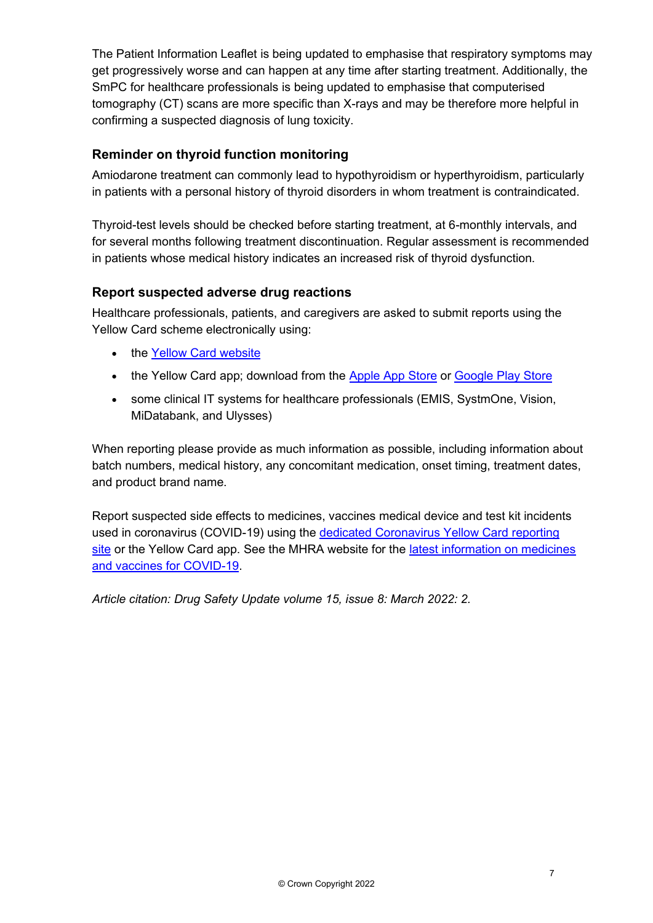The Patient Information Leaflet is being updated to emphasise that respiratory symptoms may get progressively worse and can happen at any time after starting treatment. Additionally, the SmPC for healthcare professionals is being updated to emphasise that computerised tomography (CT) scans are more specific than X-rays and may be therefore more helpful in confirming a suspected diagnosis of lung toxicity.

# **Reminder on thyroid function monitoring**

Amiodarone treatment can commonly lead to hypothyroidism or hyperthyroidism, particularly in patients with a personal history of thyroid disorders in whom treatment is contraindicated.

Thyroid-test levels should be checked before starting treatment, at 6-monthly intervals, and for several months following treatment discontinuation. Regular assessment is recommended in patients whose medical history indicates an increased risk of thyroid dysfunction.

## **Report suspected adverse drug reactions**

Healthcare professionals, patients, and caregivers are asked to submit reports using the Yellow Card scheme electronically using:

- the [Yellow Card website](https://yellowcard.mhra.gov.uk/)
- the Yellow Card app; download from the [Apple App Store](https://itunes.apple.com/us/app/apple-store/id990237487?pt=117756671&ct=EYC&mt=8) or [Google Play Store](https://play.google.com/store/apps/details?id=uk.org.mhra.yellowcard&referrer=utm_source%3DEYC%26utm_medium%3Dcpc%26anid%3Dadmob)
- some clinical IT systems for healthcare professionals (EMIS, SystmOne, Vision, MiDatabank, and Ulysses)

When reporting please provide as much information as possible, including information about batch numbers, medical history, any concomitant medication, onset timing, treatment dates, and product brand name.

Report suspected side effects to medicines, vaccines medical device and test kit incidents used in coronavirus (COVID-19) using the [dedicated Coronavirus Yellow Card reporting](https://coronavirus-yellowcard.mhra.gov.uk/)  [site](https://coronavirus-yellowcard.mhra.gov.uk/) or the Yellow Card app. See the MHRA website for the latest information on medicines [and vaccines for COVID-19.](https://www.gov.uk/government/collections/mhra-guidance-on-coronavirus-covid-19)

*Article citation: Drug Safety Update volume 15, issue 8: March 2022: 2.*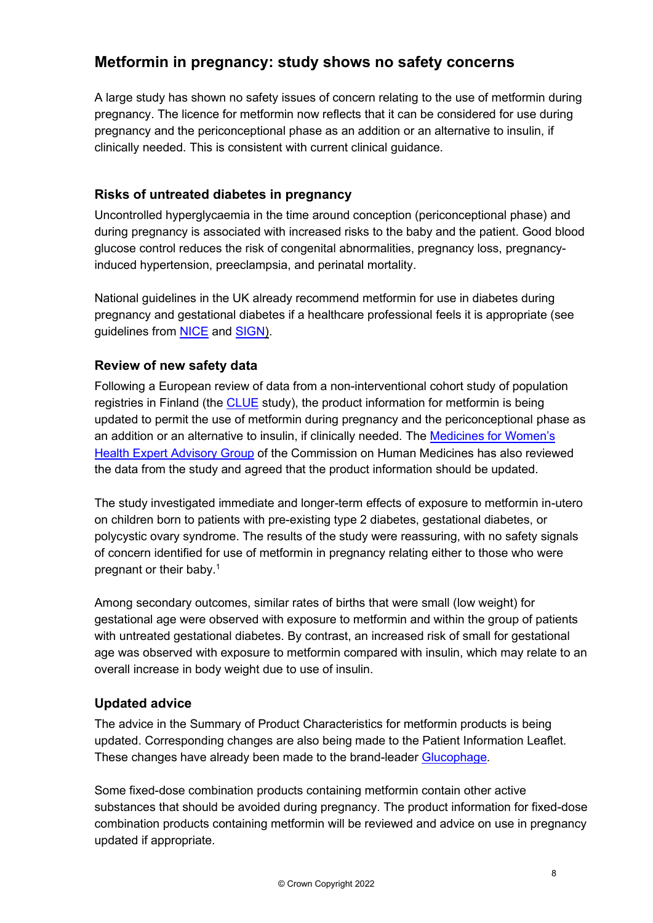# **Metformin in pregnancy: study shows no safety concerns**

A large study has shown no safety issues of concern relating to the use of metformin during pregnancy. The licence for metformin now reflects that it can be considered for use during pregnancy and the periconceptional phase as an addition or an alternative to insulin, if clinically needed. This is consistent with current clinical guidance.

# **Risks of untreated diabetes in pregnancy**

Uncontrolled hyperglycaemia in the time around conception (periconceptional phase) and during pregnancy is associated with increased risks to the baby and the patient. Good blood glucose control reduces the risk of congenital abnormalities, pregnancy loss, pregnancyinduced hypertension, preeclampsia, and perinatal mortality.

National guidelines in the UK already recommend metformin for use in diabetes during pregnancy and gestational diabetes if a healthcare professional feels it is appropriate (see guidelines from [NICE](https://www.nice.org.uk/guidance/ng3/chapter/Recommendations) and [SIGN\)](https://www.sign.ac.uk/assets/sign116.pdf).

## **Review of new safety data**

Following a European review of data from a non-interventional cohort study of population registries in Finland (the [CLUE](https://dx.doi.org/10.1136%2Fbmjdrc-2021-002363) study), the product information for metformin is being updated to permit the use of metformin during pregnancy and the periconceptional phase as an addition or an alternative to insulin, if clinically needed. The [Medicines for Women's](https://www.gov.uk/government/organisations/commission-on-human-medicines/about/membership#medicines-for-womens-health-eag)  [Health Expert Advisory Group](https://www.gov.uk/government/organisations/commission-on-human-medicines/about/membership#medicines-for-womens-health-eag) of the Commission on Human Medicines has also reviewed the data from the study and agreed that the product information should be updated.

The study investigated immediate and longer-term effects of exposure to metformin in-utero on children born to patients with pre-existing type 2 diabetes, gestational diabetes, or polycystic ovary syndrome. The results of the study were reassuring, with no safety signals of concern identified for use of metformin in pregnancy relating either to those who were pregnant or their baby.<sup>1</sup>

Among secondary outcomes, similar rates of births that were small (low weight) for gestational age were observed with exposure to metformin and within the group of patients with untreated gestational diabetes. By contrast, an increased risk of small for gestational age was observed with exposure to metformin compared with insulin, which may relate to an overall increase in body weight due to use of insulin.

#### **Updated advice**

The advice in the Summary of Product Characteristics for metformin products is being updated. Corresponding changes are also being made to the Patient Information Leaflet. These changes have already been made to the brand-leader [Glucophage.](https://www.medicines.org.uk/emc/medicine/1043#gref)

Some fixed-dose combination products containing metformin contain other active substances that should be avoided during pregnancy. The product information for fixed-dose combination products containing metformin will be reviewed and advice on use in pregnancy updated if appropriate.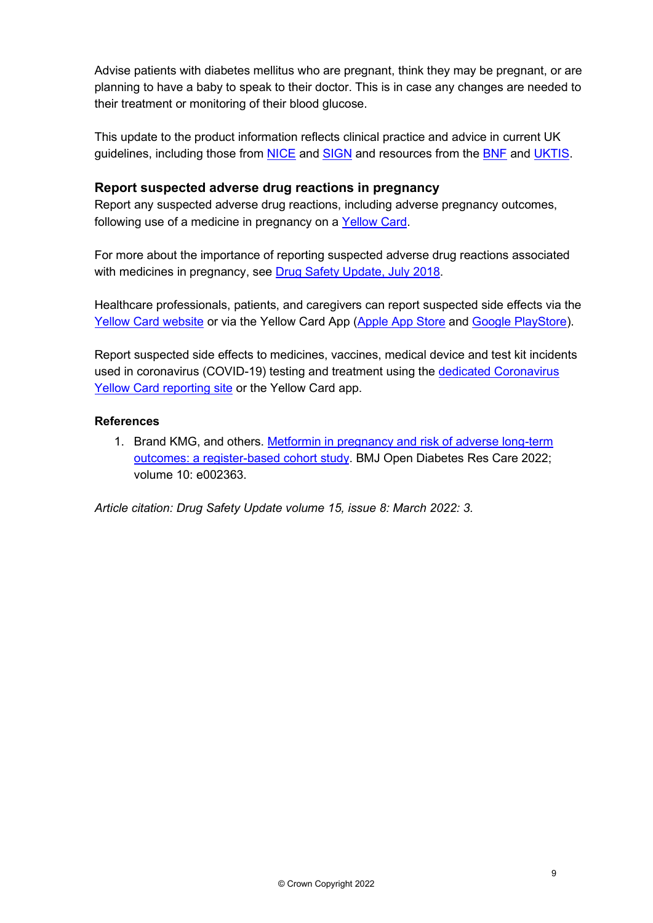Advise patients with diabetes mellitus who are pregnant, think they may be pregnant, or are planning to have a baby to speak to their doctor. This is in case any changes are needed to their treatment or monitoring of their blood glucose.

This update to the product information reflects clinical practice and advice in current UK guidelines, including those from [NICE](https://www.nice.org.uk/guidance/ng3/chapter/Recommendations) and [SIGN](https://www.sign.ac.uk/assets/sign116.pdf) and resources from the [BNF](https://bnf.nice.org.uk/drug/metformin-hydrochloride.html) and [UKTIS.](https://www.medicinesinpregnancy.org/Medicine--pregnancy/Metformin/)

#### **Report suspected adverse drug reactions in pregnancy**

Report any suspected adverse drug reactions, including adverse pregnancy outcomes, following use of a medicine in pregnancy on a [Yellow Card.](https://yellowcard.mhra.gov.uk/)

For more about the importance of reporting suspected adverse drug reactions associated with medicines in pregnancy, see [Drug Safety Update, July 2018.](https://www.gov.uk/drug-safety-update/support-yellow-card-improve-the-safety-of-medicines-in-pregnancy-and-breastfeeding-and-in-babies-and-children)

Healthcare professionals, patients, and caregivers can report suspected side effects via the [Yellow Card website](https://yellowcard.mhra.gov.uk/) or via the Yellow Card App [\(Apple App Store](https://apps.apple.com/us/app/apple-store/id990237487) and [Google PlayStore\)](https://play.google.com/store/apps/details?id=uk.org.mhra.yellowcard&referrer=utm_source%3DEYC%26utm_medium%3Dcpc%26anid%3Dadmob).

Report suspected side effects to medicines, vaccines, medical device and test kit incidents used in coronavirus (COVID-19) testing and treatment using the [dedicated Coronavirus](https://coronavirus-yellowcard.mhra.gov.uk/)  [Yellow Card reporting site](https://coronavirus-yellowcard.mhra.gov.uk/) or the Yellow Card app.

#### **References**

1. Brand KMG, and others. [Metformin in pregnancy and risk of adverse long-term](https://dx.doi.org/10.1136%2Fbmjdrc-2021-002363)  [outcomes: a register-based cohort study.](https://dx.doi.org/10.1136%2Fbmjdrc-2021-002363) BMJ Open Diabetes Res Care 2022; volume 10: e002363.

*Article citation: Drug Safety Update volume 15, issue 8: March 2022: 3.*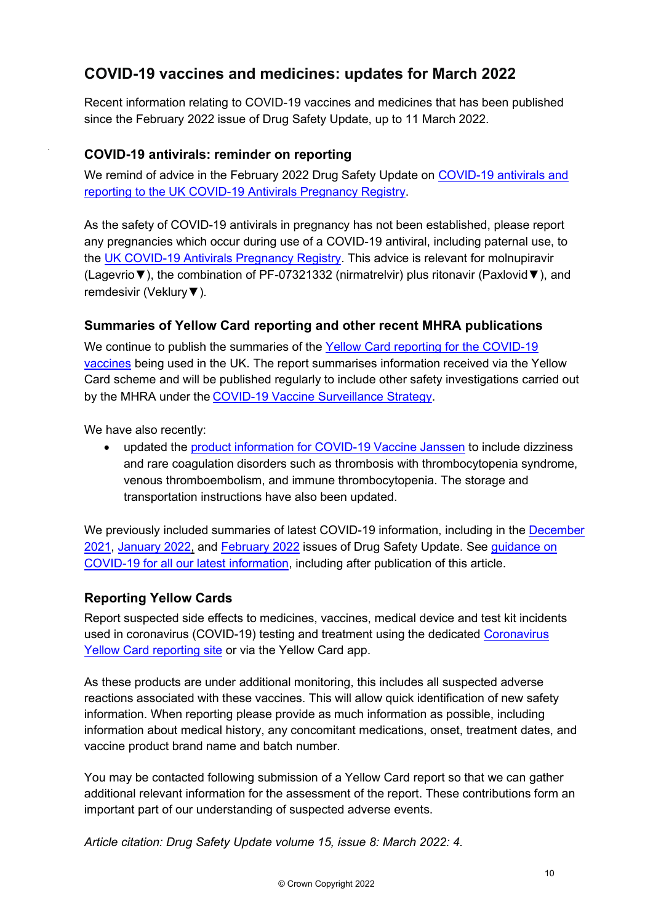# **COVID-19 vaccines and medicines: updates for March 2022**

Recent information relating to COVID-19 vaccines and medicines that has been published since the February 2022 issue of Drug Safety Update, up to 11 March 2022.

## **COVID-19 antivirals: reminder on reporting**

We remind of advice in the February 2022 Drug Safety Update on COVID-19 antivirals and [reporting to the UK COVID-19 Antivirals Pregnancy Registry.](https://www.gov.uk/drug-safety-update/covid-19-antivirals-reporting-to-the-uk-covid-19-antivirals-pregnancy-registry)

As the safety of COVID-19 antivirals in pregnancy has not been established, please report any pregnancies which occur during use of a COVID-19 antiviral, including paternal use, to the [UK COVID-19 Antivirals Pregnancy Registry.](https://www.medicinesinpregnancy.org/COVID-19-Antivirals-Pregnancy-Registry/) This advice is relevant for molnupiravir (Lagevrio▼), the combination of PF-07321332 (nirmatrelvir) plus ritonavir (Paxlovid▼), and remdesivir (Veklury▼).

## **Summaries of Yellow Card reporting and other recent MHRA publications**

We continue to publish the summaries of the [Yellow Card reporting for the COVID-19](https://www.gov.uk/government/publications/coronavirus-covid-19-vaccine-adverse-reactions/coronavirus-vaccine-summary-of-yellow-card-reporting)  [vaccines](https://www.gov.uk/government/publications/coronavirus-covid-19-vaccine-adverse-reactions/coronavirus-vaccine-summary-of-yellow-card-reporting) being used in the UK. The report summarises information received via the Yellow Card scheme and will be published regularly to include other safety investigations carried out by the MHRA under the [COVID-19 Vaccine Surveillance Strategy.](https://www.gov.uk/government/publications/report-of-the-commission-on-human-medicines-expert-working-group-on-covid-19-vaccine-safety-surveillance)

We have also recently:

.

• updated the [product information for COVID-19 Vaccine Janssen](https://www.gov.uk/government/publications/regulatory-approval-of-covid-19-vaccine-janssen) to include dizziness and rare coagulation disorders such as thrombosis with thrombocytopenia syndrome, venous thromboembolism, and immune thrombocytopenia. The storage and transportation instructions have also been updated.

We previously included summaries of latest COVID-19 information, including in the December [2021,](https://www.gov.uk/drug-safety-update/covid-19-vaccines-and-medicines-updates-for-december-2021) [January 2022,](https://www.gov.uk/drug-safety-update/covid-19-vaccines-and-medicines-updates-for-january-2022) and [February 2022](https://www.gov.uk/drug-safety-update/covid-19-vaccines-and-medicines-updates-for-february-2022) issues of Drug Safety Update. See [guidance on](https://www.gov.uk/government/collections/mhra-guidance-on-coronavirus-covid-19)  [COVID-19 for all our latest information,](https://www.gov.uk/government/collections/mhra-guidance-on-coronavirus-covid-19) including after publication of this article.

#### **Reporting Yellow Cards**

Report suspected side effects to medicines, vaccines, medical device and test kit incidents used in coronavirus (COVID-19) testing and treatment using the dedicated Coronavirus [Yellow Card reporting site](https://coronavirus-yellowcard.mhra.gov.uk/) or via the Yellow Card app.

As these products are under additional monitoring, this includes all suspected adverse reactions associated with these vaccines. This will allow quick identification of new safety information. When reporting please provide as much information as possible, including information about medical history, any concomitant medications, onset, treatment dates, and vaccine product brand name and batch number.

You may be contacted following submission of a Yellow Card report so that we can gather additional relevant information for the assessment of the report. These contributions form an important part of our understanding of suspected adverse events.

*Article citation: Drug Safety Update volume 15, issue 8: March 2022: 4.*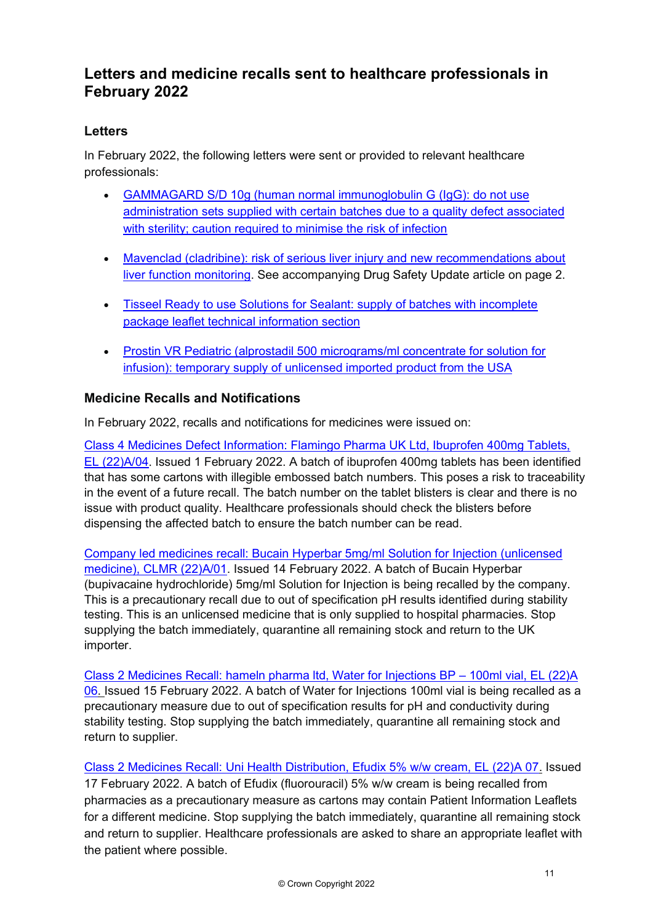# **Letters and medicine recalls sent to healthcare professionals in February 2022**

# **Letters**

In February 2022, the following letters were sent or provided to relevant healthcare professionals:

- [GAMMAGARD S/D 10g \(human normal immunoglobulin G \(IgG\): do not use](https://assets.publishing.service.gov.uk/media/622b4db9d3bf7f5a8e3f5826/DHPC_Letter_Gammagard_11Feb22.pdf)  [administration sets supplied with certain batches due to a quality defect associated](https://assets.publishing.service.gov.uk/media/622b4db9d3bf7f5a8e3f5826/DHPC_Letter_Gammagard_11Feb22.pdf)  [with sterility; caution required to minimise the risk of infection](https://assets.publishing.service.gov.uk/media/622b4db9d3bf7f5a8e3f5826/DHPC_Letter_Gammagard_11Feb22.pdf)
- [Mavenclad \(cladribine\): risk of serious liver injury and new recommendations about](https://assets.publishing.service.gov.uk/media/622b4dd7d3bf7f5a89aece9e/DHPC_UK_cladribine_Mavenclad_-_14_Feb_2022.pdf)  [liver function monitoring.](https://assets.publishing.service.gov.uk/media/622b4dd7d3bf7f5a89aece9e/DHPC_UK_cladribine_Mavenclad_-_14_Feb_2022.pdf) See accompanying Drug Safety Update article on page 2.
- [Tisseel Ready to use Solutions for Sealant: supply of batches with incomplete](https://assets.publishing.service.gov.uk/media/622b4deb8fa8f56c19c0ac13/DHPC_tisseel-_14_Feb_2022.pdf)  [package leaflet technical information section](https://assets.publishing.service.gov.uk/media/622b4deb8fa8f56c19c0ac13/DHPC_tisseel-_14_Feb_2022.pdf)
- [Prostin VR Pediatric \(alprostadil 500 micrograms/ml concentrate for solution for](https://assets.publishing.service.gov.uk/media/622b4e17e90e070ed7400584/Prostin-VR-DHPC-_24_Feb_2022.pdf)  [infusion\): temporary supply of unlicensed imported product from the USA](https://assets.publishing.service.gov.uk/media/622b4e17e90e070ed7400584/Prostin-VR-DHPC-_24_Feb_2022.pdf)

## **Medicine Recalls and Notifications**

In February 2022, recalls and notifications for medicines were issued on:

[Class 4 Medicines Defect Information: Flamingo Pharma UK Ltd, Ibuprofen 400mg Tablets,](https://www.gov.uk/drug-device-alerts/class-4-medicines-defect-information-flamingo-pharma-uk-ltd-ibuprofen-400mg-tablets-el-22-a-slash-04)  [EL \(22\)A/04](https://www.gov.uk/drug-device-alerts/class-4-medicines-defect-information-flamingo-pharma-uk-ltd-ibuprofen-400mg-tablets-el-22-a-slash-04). Issued 1 February 2022. A batch of ibuprofen 400mg tablets has been identified that has some cartons with illegible embossed batch numbers. This poses a risk to traceability in the event of a future recall. The batch number on the tablet blisters is clear and there is no issue with product quality. Healthcare professionals should check the blisters before dispensing the affected batch to ensure the batch number can be read.

[Company led medicines recall: Bucain Hyperbar 5mg/ml Solution for Injection \(unlicensed](https://www.gov.uk/drug-device-alerts/company-led-medicines-recall-bucain-hyperbar-5mg-slash-ml-solution-for-injection-unlicensed-medicine-clmr-22-a-slash-01)  [medicine\), CLMR \(22\)A/01.](https://www.gov.uk/drug-device-alerts/company-led-medicines-recall-bucain-hyperbar-5mg-slash-ml-solution-for-injection-unlicensed-medicine-clmr-22-a-slash-01) Issued 14 February 2022. A batch of Bucain Hyperbar (bupivacaine hydrochloride) 5mg/ml Solution for Injection is being recalled by the company. This is a precautionary recall due to out of specification pH results identified during stability testing. This is an unlicensed medicine that is only supplied to hospital pharmacies. Stop supplying the batch immediately, quarantine all remaining stock and return to the UK importer.

[Class 2 Medicines Recall: hameln pharma ltd, Water for Injections BP](https://www.gov.uk/drug-device-alerts/class-2-medicines-recall-hameln-pharma-ltd-water-for-injections-bp-100ml-vial-el-22-a-06) – 100ml vial, EL (22)A [06.](https://www.gov.uk/drug-device-alerts/class-2-medicines-recall-hameln-pharma-ltd-water-for-injections-bp-100ml-vial-el-22-a-06) Issued 15 February 2022. A batch of Water for Injections 100ml vial is being recalled as a precautionary measure due to out of specification results for pH and conductivity during stability testing. Stop supplying the batch immediately, quarantine all remaining stock and return to supplier.

[Class 2 Medicines Recall: Uni Health Distribution, Efudix 5% w/w cream, EL \(22\)A 07.](https://www.gov.uk/drug-device-alerts/class-2-medicines-recall-uni-health-distribution-efudix-5-percent-w-slash-w-cream-el-22-a-07) Issued 17 February 2022. A batch of Efudix (fluorouracil) 5% w/w cream is being recalled from pharmacies as a precautionary measure as cartons may contain Patient Information Leaflets for a different medicine. Stop supplying the batch immediately, quarantine all remaining stock and return to supplier. Healthcare professionals are asked to share an appropriate leaflet with the patient where possible.